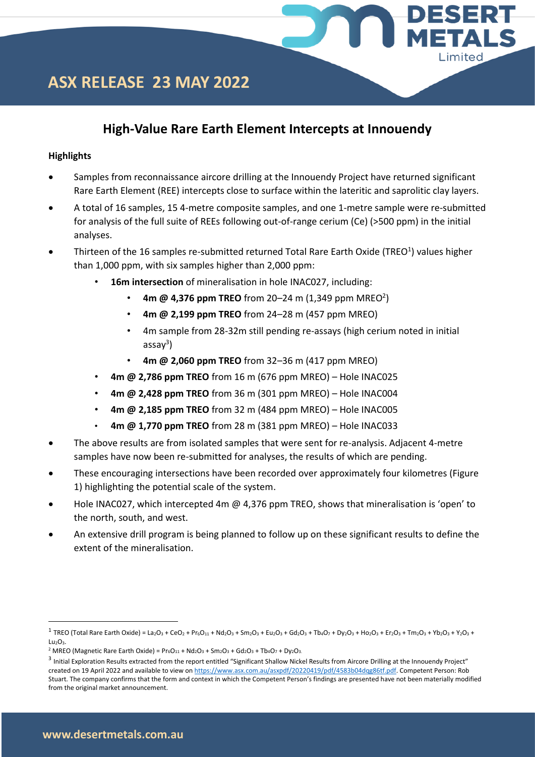### **High-Value Rare Earth Element Intercepts at Innouendy**

ESERT

Limited

### **Highlights**

- Samples from reconnaissance aircore drilling at the Innouendy Project have returned significant Rare Earth Element (REE) intercepts close to surface within the lateritic and saprolitic clay layers.
- A total of 16 samples, 15 4-metre composite samples, and one 1-metre sample were re-submitted for analysis of the full suite of REEs following out-of-range cerium (Ce) (>500 ppm) in the initial analyses.
- Thirteen of the 16 samples re-submitted returned Total Rare Earth Oxide (TREO<sup>1</sup>) values higher than 1,000 ppm, with six samples higher than 2,000 ppm:
	- **16m intersection** of mineralisation in hole INAC027, including:
		- $4m \omega 4,376$  ppm TREO from 20–24 m (1,349 ppm MREO<sup>2</sup>)
		- **4m @ 2,199 ppm TREO** from 24–28 m (457 ppm MREO)
		- 4m sample from 28-32m still pending re-assays (high cerium noted in initial assay<sup>3</sup>)
		- **4m @ 2,060 ppm TREO** from 32–36 m (417 ppm MREO)
	- **4m @ 2,786 ppm TREO** from 16 m (676 ppm MREO) Hole INAC025
	- **4m @ 2,428 ppm TREO** from 36 m (301 ppm MREO) Hole INAC004
	- **4m @ 2,185 ppm TREO** from 32 m (484 ppm MREO) Hole INAC005
	- **4m @ 1,770 ppm TREO** from 28 m (381 ppm MREO) Hole INAC033
- The above results are from isolated samples that were sent for re-analysis. Adjacent 4-metre samples have now been re-submitted for analyses, the results of which are pending.
- These encouraging intersections have been recorded over approximately four kilometres (Figure 1) highlighting the potential scale of the system.
- Hole INAC027, which intercepted 4m @ 4,376 ppm TREO, shows that mineralisation is 'open' to the north, south, and west.
- An extensive drill program is being planned to follow up on these significant results to define the extent of the mineralisation.

 $^1$  TREO (Total Rare Earth Oxide) = La2O<sub>3</sub> + CeO<sub>2</sub> + Pr<sub>6</sub>O<sub>11</sub> + Nd<sub>2</sub>O<sub>3</sub> + Sm<sub>2</sub>O<sub>3</sub> + Ed<sub>2</sub>O<sub>3</sub> + Tb<sub>4</sub>O<sub>7</sub> + Dy<sub>2</sub>O<sub>3</sub> + Ho<sub>2</sub>O<sub>3</sub> + Fr<sub>2</sub>O<sub>3</sub> + Tm<sub>2</sub>O<sub>3</sub> + Y<sub>2</sub>O<sub>3</sub> + Y<sub>2</sub>O<sub>3</sub> + Y<sub>2</sub>O<sub>3</sub> Lu<sub>2</sub>O<sub>3</sub>.

<sup>&</sup>lt;sup>2</sup> MREO (Magnetic Rare Earth Oxide) =  $Pr_6O_{11}$  +  $Nd_2O_3$  +  $Sm_2O_3$  +  $Gd_2O_3$  +  $Tb_4O_7$  +  $Dy_2O_3$ .

<sup>&</sup>lt;sup>3</sup> Initial Exploration Results extracted from the report entitled "Significant Shallow Nickel Results from Aircore Drilling at the Innouendy Project" created on 19 April 2022 and available to view on [https://www.asx.com.au/asxpdf/20220419/pdf/4583b04dqg86tf.pdf.](https://www.asx.com.au/asxpdf/20220419/pdf/4583b04dqg86tf.pdf) Competent Person: Rob Stuart. The company confirms that the form and context in which the Competent Person's findings are presented have not been materially modified from the original market announcement.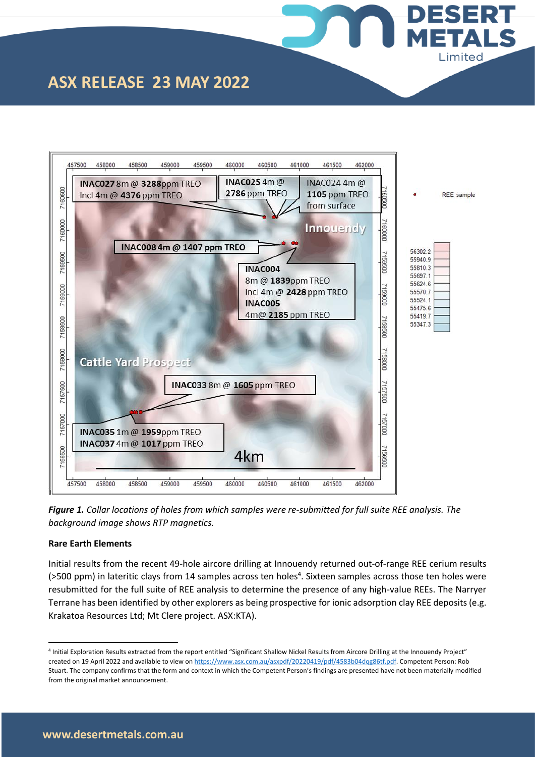



**DESERT** 

**IETAL** 

Limited

*Figure 1. Collar locations of holes from which samples were re-submitted for full suite REE analysis. The background image shows RTP magnetics.* 

#### **Rare Earth Elements**

Initial results from the recent 49-hole aircore drilling at Innouendy returned out-of-range REE cerium results (>500 ppm) in lateritic clays from 14 samples across ten holes<sup>4</sup>. Sixteen samples across those ten holes were resubmitted for the full suite of REE analysis to determine the presence of any high-value REEs. The Narryer Terrane has been identified by other explorers as being prospective for ionic adsorption clay REE deposits (e.g. Krakatoa Resources Ltd; Mt Clere project. ASX:KTA).

<sup>4</sup> Initial Exploration Results extracted from the report entitled "Significant Shallow Nickel Results from Aircore Drilling at the Innouendy Project" created on 19 April 2022 and available to view on [https://www.asx.com.au/asxpdf/20220419/pdf/4583b04dqg86tf.pdf.](https://www.asx.com.au/asxpdf/20220419/pdf/4583b04dqg86tf.pdf) Competent Person: Rob Stuart. The company confirms that the form and context in which the Competent Person's findings are presented have not been materially modified from the original market announcement.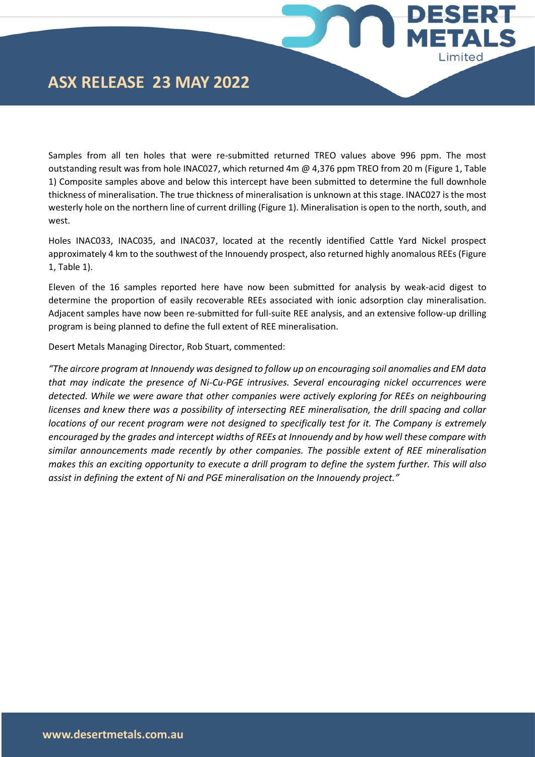## **ASX RELEASE 23 MAY 2022**

Samples from all ten holes that were re-submitted returned TREO values above 996 ppm. The most outstanding result was from hole INAC027, which returned 4m @ 4,376 ppm TREO from 20 m (Figure 1, Table 1) Composite samples above and below this intercept have been submitted to determine the full downhole thickness of mineralisation. The true thickness of mineralisation is unknown at this stage. INAC027 is the most westerly hole on the northern line of current drilling (Figure 1). Mineralisation is open to the north, south, and west.

**ESERT** 

**IETALS** 

Limited

Holes INAC033, INAC035, and INAC037, located at the recently identified Cattle Yard Nickel prospect approximately 4 km to the southwest of the Innouendy prospect, also returned highly anomalous REEs (Figure 1, Table 1).

Eleven of the 16 samples reported here have now been submitted for analysis by weak-acid digest to determine the proportion of easily recoverable REEs associated with ionic adsorption clay mineralisation. Adjacent samples have now been re-submitted for full-suite REE analysis, and an extensive follow-up drilling program is being planned to define the full extent of REE mineralisation.

Desert Metals Managing Director, Rob Stuart, commented:

*"The aircore program at Innouendy was designed to follow up on encouraging soil anomalies and EM data that may indicate the presence of Ni-Cu-PGE intrusives. Several encouraging nickel occurrences were detected. While we were aware that other companies were actively exploring for REEs on neighbouring licenses and knew there was a possibility of intersecting REE mineralisation, the drill spacing and collar locations of our recent program were not designed to specifically test for it. The Company is extremely encouraged by the grades and intercept widths of REEs at Innouendy and by how well these compare with similar announcements made recently by other companies. The possible extent of REE mineralisation makes this an exciting opportunity to execute a drill program to define the system further. This will also assist in defining the extent of Ni and PGE mineralisation on the Innouendy project."*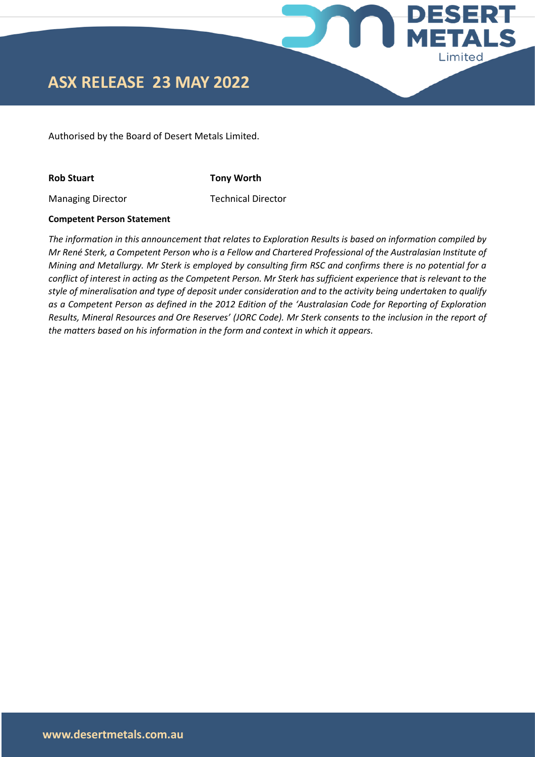

Authorised by the Board of Desert Metals Limited.

**Rob Stuart Tony Worth**

Managing Director Technical Director

### **Competent Person Statement**

*The information in this announcement that relates to Exploration Results is based on information compiled by Mr René Sterk, a Competent Person who is a Fellow and Chartered Professional of the Australasian Institute of Mining and Metallurgy. Mr Sterk is employed by consulting firm RSC and confirms there is no potential for a conflict of interest in acting as the Competent Person. Mr Sterk has sufficient experience that is relevant to the style of mineralisation and type of deposit under consideration and to the activity being undertaken to qualify as a Competent Person as defined in the 2012 Edition of the 'Australasian Code for Reporting of Exploration Results, Mineral Resources and Ore Reserves' (JORC Code). Mr Sterk consents to the inclusion in the report of the matters based on his information in the form and context in which it appears.*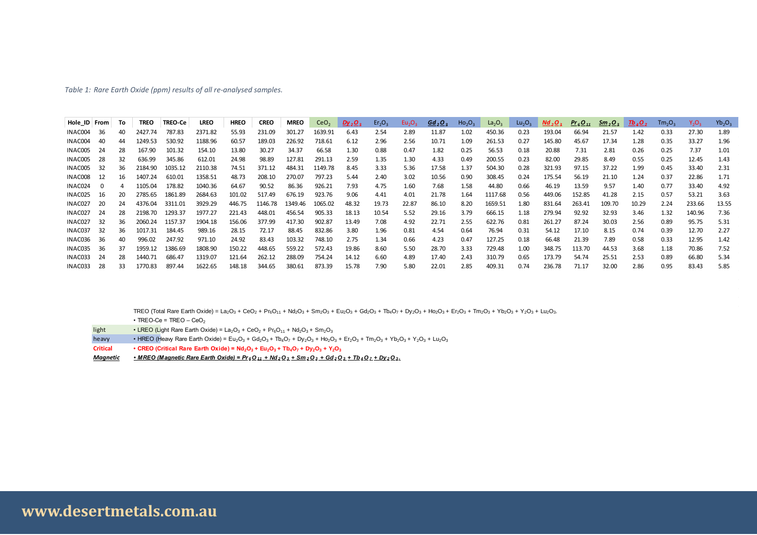#### *Table 1: Rare Earth Oxide (ppm) results of all re-analysed samples.*

|              |          |    |             |                | Table 1: Rare Earth Oxide (ppm) results of all re-analysed samples. |             |             |             |                  |           |                                |                                |                                |                                |                                |                                |                                |                                 |                             |                     |                                |          |           |
|--------------|----------|----|-------------|----------------|---------------------------------------------------------------------|-------------|-------------|-------------|------------------|-----------|--------------------------------|--------------------------------|--------------------------------|--------------------------------|--------------------------------|--------------------------------|--------------------------------|---------------------------------|-----------------------------|---------------------|--------------------------------|----------|-----------|
|              |          |    |             |                |                                                                     |             |             |             |                  |           |                                |                                |                                |                                |                                |                                |                                |                                 |                             |                     |                                |          |           |
|              |          |    |             |                |                                                                     |             |             |             |                  |           |                                |                                |                                |                                |                                |                                |                                |                                 |                             |                     |                                |          |           |
| Hole_ID From |          | To | <b>TREO</b> | <b>TREO-Ce</b> | <b>LREO</b>                                                         | <b>HREO</b> | <b>CREO</b> | <b>MREO</b> | CeO <sub>2</sub> | $Dy_2O_3$ | Er <sub>2</sub> O <sub>3</sub> | Eu <sub>2</sub> O <sub>3</sub> | Gd <sub>2</sub> O <sub>3</sub> | Ho <sub>2</sub> O <sub>3</sub> | La <sub>2</sub> O <sub>3</sub> | Lu <sub>2</sub> O <sub>3</sub> | Nd <sub>2</sub> O <sub>3</sub> | Pr <sub>6</sub> O <sub>11</sub> | $\frac{Sm_{2}O_{3}}{S_{1}}$ | $\frac{7b_4O_7}{4}$ | Tm <sub>2</sub> O <sub>3</sub> | $Y_2O_3$ | $Yb_2O_3$ |
| INAC004      | 36       | 40 | 2427.74     | 787.83         | 2371.82                                                             | 55.93       | 231.09      | 301.27      | 1639.91          | 6.43      | 2.54                           | 2.89                           | 11.87                          | 1.02                           | 450.36                         | 0.23                           | 193.04                         | 66.94                           | 21.57                       | 1.42                | 0.33                           | 27.30    | 1.89      |
| INAC004      | 40       | 44 | 1249.53     | 530.92         | 1188.96                                                             | 60.57       | 189.03      | 226.92      | 718.61           | 6.12      | 2.96                           | 2.56                           | 10.71                          | 1.09                           | 261.53                         | 0.27                           | 145.80                         | 45.67                           | 17.34                       | 1.28                | 0.35                           | 33.27    | 1.96      |
| INAC005      | 24       | 28 | 167.90      | 101.32         | 154.10                                                              | 13.80       | 30.27       | 34.37       | 66.58            | 1.30      | 0.88                           | 0.47                           | 1.82                           | 0.25                           | 56.53                          | 0.18                           | 20.88                          | 7.31                            | 2.81                        | 0.26                | 0.25                           | 7.37     | 1.01      |
| INAC005      | 28       | 32 | 636.99      | 345.86         | 612.01                                                              | 24.98       | 98.89       | 127.81      | 291.13           | 2.59      | 1.35                           | 1.30                           | 4.33                           | 0.49                           | 200.55                         | 0.23                           | 82.00                          | 29.85                           | 8.49                        | 0.55                | 0.25                           | 12.45    | 1.43      |
| INAC005      | 32       | 36 | 2184.90     | 1035.12        | 2110.38                                                             | 74.51       | 371.12      | 484.31      | 1149.78          | 8.45      | 3.33                           | 5.36                           | 17.58                          | 1.37                           | 504.30                         | 0.28                           | 321.93                         | 97.15                           | 37.22                       | 1.99                | 0.45                           | 33.40    | 2.31      |
| INAC008      | 12       | 16 | 1407.24     | 610.01         | 1358.51                                                             | 48.73       | 208.10      | 270.07      | 797.23           | 5.44      | 2.40                           | 3.02                           | 10.56                          | 0.90                           | 308.45                         | 0.24                           | 175.54                         | 56.19                           | 21.10                       | 1.24                | 0.37                           | 22.86    | 1.71      |
| INAC024      | $\Omega$ |    | 1105.04     | 178.82         | 1040.36                                                             | 64.67       | 90.52       | 86.36       | 926.21           | 7.93      | 4.75                           | 1.60                           | 7.68                           | 1.58                           | 44.80                          | 0.66                           | 46.19                          | 13.59                           | 9.57                        | 1.40                | 0.77                           | 33.40    | 4.92      |
| INAC025      | 16       | 20 | 2785.65     | 1861.89        | 2684.63                                                             | 101.02      | 517.49      | 676.19      | 923.76           | 9.06      | 4.41                           | 4.01                           | 21.78                          | 1.64                           | 1117.68                        | 0.56                           | 449.06                         | 152.85                          | 41.28                       | 2.15                | 0.57                           | 53.21    | 3.63      |
| INAC027      | 20       | 24 | 4376.04     | 3311.01        | 3929.29                                                             | 446.75      | 1146.78     | 1349.46     | 1065.02          | 48.32     | 19.73                          | 22.87                          | 86.10                          | 8.20                           | 1659.51                        | 1.80                           | 831.64                         | 263.41                          | 109.70                      | 10.29               | 2.24                           | 233.66   | 13.55     |
| INAC027      | 24       | 28 | 2198.70     | 1293.37        | 1977.27                                                             | 221.43      | 448.01      | 456.54      | 905.33           | 18.13     | 10.54                          | 5.52                           | 29.16                          | 3.79                           | 666.15                         | 1.18                           | 279.94                         | 92.92                           | 32.93                       | 3.46                | 1.32                           | 140.96   | 7.36      |
| INAC027      | 32       | 36 | 2060.24     | 1157.37        | 1904.18                                                             | 156.06      | 377.99      | 417.30      | 902.87           | 13.49     | 7.08                           | 4.92                           | 22.71                          | 2.55                           | 622.76                         | 0.81                           | 261.27                         | 87.24                           | 30.03                       | 2.56                | 0.89                           | 95.75    | 5.31      |
| INAC037      | 32       | 36 | 1017.31     | 184.45         | 989.16                                                              | 28.15       | 72.17       | 88.45       | 832.86           | 3.80      | 1.96                           | 0.81                           | 4.54                           | 0.64                           | 76.94                          | 0.31                           | 54.12                          | 17.10                           | 8.15                        | 0.74                | 0.39                           | 12.70    | 2.27      |
| INAC036      | 36       | 40 | 996.02      | 247.92         | 971.10                                                              | 24.92       | 83.43       | 103.32      | 748.10           | 2.75      | 1.34                           | 0.66                           | 4.23                           | 0.47                           | 127.25                         | 0.18                           | 66.48                          | 21.39                           | 7.89                        | 0.58                | 0.33                           | 12.95    | 1.42      |
| INAC035      | 36       | 37 | 1959.12     | 1386.69        | 1808.90                                                             | 150.22      | 448.65      | 559.22      | 572.43           | 19.86     | 8.60                           | 5.50                           | 28.70                          | 3.33                           | 729.48                         | 1.00                           | 348.75                         | 113.70                          | 44.53                       | 3.68                | 1.18                           | 70.86    | 7.52      |
| INAC033      | 24       | 28 | 1440.71     | 686.47         | 1319.07                                                             | 121.64      | 262.12      | 288.09      | 754.24           | 14.12     | 6.60                           | 4.89                           | 17.40                          | 2.43                           | 310.79                         | 0.65                           | 173.79                         | 54.74                           | 25.51                       | 2.53                | 0.89                           | 66.80    | 5.34      |
| INAC033      | 28       | 33 | 1770.83     | 897.44         | 1622.65                                                             | 148.18      | 344.65      | 380.61      | 873.39           | 15.78     | 7.90                           | 5.80                           | 22.01                          | 2.85                           | 409.31                         | 0.74                           | 236.78                         | 71.17                           | 32.00                       | 2.86                | 0.95                           | 83.43    | 5.85      |

TREO (Total Rare Earth Oxide) = La<sub>2</sub>O<sub>3</sub> + CeO<sub>2</sub> + Pr<sub>6</sub>O<sub>11</sub> + Nd<sub>2</sub>O<sub>3</sub> + Sm<sub>2</sub>O<sub>3</sub> + Eu<sub>2</sub>O<sub>3</sub> + Gd<sub>2</sub>O<sub>3</sub> + Tb<sub>4</sub>O<sub>7</sub> + Dy<sub>2</sub>O<sub>3</sub> + Ho<sub>2</sub>O<sub>3</sub> + En<sub>2</sub>O<sub>3</sub> + Y<sub>2</sub>O<sub>3</sub> + Y<sub>2</sub>O<sub>3</sub> + Lu<sub>2</sub>O<sub>3</sub>.

 $\cdot$  TREO-Ce = TREO – CeO<sub>2</sub>

- light LREO (Light Rare Earth Oxide) =  $La_2O_3 + CeO_2 + Pr_6O_{11} + Nd_2O_3 + Sm_2O_3$
- heavy HREO (Heavy Rare Earth Oxide) =  $Eu_2O_3 + Gu_2O_3 + Tb_4O_7 + Dy_2O_3 + Hc_2O_3 + Er_2O_3 + Tn_2O_3 + Yb_2O_3 + Yc_2O_3 + Lu_2O_3$
- Critical CREO (Critical Rare Earth Oxide) =  $Nd_2O_3 + Eu_2O_3 + Tb_4O_7 + Dy_2O_3 + Y_2O_3$
- Magnetic MREO (Magnetic Rare Earth Oxide) =  $Pr_6O_{11}$  + Nd<sub>2</sub>O<sub>3</sub> + Sm<sub>2</sub>O<sub>3</sub> + Gd<sub>2</sub>O<sub>3</sub> + Tb<sub>4</sub>O<sub>7</sub> + Dy<sub>2</sub>O<sub>3</sub>.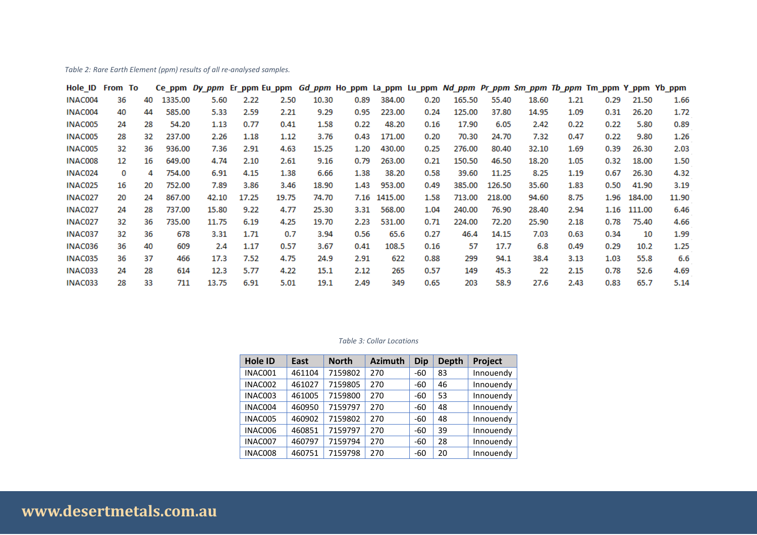*Table 2: Rare Earth Element (ppm) results of all re-analysed samples.*

| Hole ID From To |    |    |             |       |       |       |       |      |              |      |        |        |       |      | Ce_ppm Dy_ppm Er_ppm Eu_ppm Gd_ppm Ho_ppm La_ppm Lu_ppm Nd_ppm Pr_ppm Sm_ppm Tb_ppm Tm_ppm Y_ppm Yb_ppm |        |       |
|-----------------|----|----|-------------|-------|-------|-------|-------|------|--------------|------|--------|--------|-------|------|---------------------------------------------------------------------------------------------------------|--------|-------|
| INAC004         | 36 | 40 | 1335.00     | 5.60  | 2.22  | 2.50  | 10.30 | 0.89 | 384.00       | 0.20 | 165.50 | 55.40  | 18.60 | 1.21 | 0.29                                                                                                    | 21.50  | 1.66  |
| INAC004         | 40 | 44 | 585.00      | 5.33  | 2.59  | 2.21  | 9.29  | 0.95 | 223.00       | 0.24 | 125.00 | 37.80  | 14.95 | 1.09 | 0.31                                                                                                    | 26.20  | 1.72  |
| INAC005         | 24 | 28 | 54.20       | 1.13  | 0.77  | 0.41  | 1.58  | 0.22 | 48.20        | 0.16 | 17.90  | 6.05   | 2.42  | 0.22 | 0.22                                                                                                    | 5.80   | 0.89  |
| INAC005         | 28 | 32 | 237.00      | 2.26  | 1.18  | 1.12  | 3.76  | 0.43 | 171.00       | 0.20 | 70.30  | 24.70  | 7.32  | 0.47 | 0.22                                                                                                    | 9.80   | 1.26  |
| INAC005         | 32 | 36 | 936.00      | 7.36  | 2.91  | 4.63  | 15.25 | 1.20 | 430.00       | 0.25 | 276.00 | 80.40  | 32.10 | 1.69 | 0.39                                                                                                    | 26.30  | 2.03  |
| INAC008         | 12 | 16 | 649.00      | 4.74  | 2.10  | 2.61  | 9.16  | 0.79 | 263.00       | 0.21 | 150.50 | 46.50  | 18.20 | 1.05 | 0.32                                                                                                    | 18.00  | 1.50  |
| INAC024         | 0  |    | 754.00<br>4 | 6.91  | 4.15  | 1.38  | 6.66  | 1.38 | 38.20        | 0.58 | 39.60  | 11.25  | 8.25  | 1.19 | 0.67                                                                                                    | 26.30  | 4.32  |
| INAC025         | 16 | 20 | 752.00      | 7.89  | 3.86  | 3.46  | 18.90 | 1.43 | 953.00       | 0.49 | 385.00 | 126.50 | 35.60 | 1.83 | 0.50                                                                                                    | 41.90  | 3.19  |
| INAC027         | 20 | 24 | 867.00      | 42.10 | 17.25 | 19.75 | 74.70 |      | 7.16 1415.00 | 1.58 | 713.00 | 218.00 | 94.60 | 8.75 | 1.96                                                                                                    | 184.00 | 11.90 |
| INAC027         | 24 | 28 | 737.00      | 15.80 | 9.22  | 4.77  | 25.30 | 3.31 | 568.00       | 1.04 | 240.00 | 76.90  | 28.40 | 2.94 | 1.16                                                                                                    | 111.00 | 6.46  |
| INAC027         | 32 | 36 | 735.00      | 11.75 | 6.19  | 4.25  | 19.70 | 2.23 | 531.00       | 0.71 | 224.00 | 72.20  | 25.90 | 2.18 | 0.78                                                                                                    | 75.40  | 4.66  |
| INAC037         | 32 | 36 | 678         | 3.31  | 1.71  | 0.7   | 3.94  | 0.56 | 65.6         | 0.27 | 46.4   | 14.15  | 7.03  | 0.63 | 0.34                                                                                                    | 10     | 1.99  |
| INAC036         | 36 | 40 | 609         | 2.4   | 1.17  | 0.57  | 3.67  | 0.41 | 108.5        | 0.16 | 57     | 17.7   | 6.8   | 0.49 | 0.29                                                                                                    | 10.2   | 1.25  |
| INAC035         | 36 | 37 | 466         | 17.3  | 7.52  | 4.75  | 24.9  | 2.91 | 622          | 0.88 | 299    | 94.1   | 38.4  | 3.13 | 1.03                                                                                                    | 55.8   | 6.6   |
| INAC033         | 24 | 28 | 614         | 12.3  | 5.77  | 4.22  | 15.1  | 2.12 | 265          | 0.57 | 149    | 45.3   | 22    | 2.15 | 0.78                                                                                                    | 52.6   | 4.69  |
| INAC033         | 28 | 33 | 711         | 13.75 | 6.91  | 5.01  | 19.1  | 2.49 | 349          | 0.65 | 203    | 58.9   | 27.6  | 2.43 | 0.83                                                                                                    | 65.7   | 5.14  |

#### *Table 3: Collar Locations*

| <b>Hole ID</b> | East   | <b>North</b> | <b>Azimuth</b> | <b>Dip</b> | <b>Depth</b> | Project   |
|----------------|--------|--------------|----------------|------------|--------------|-----------|
| INAC001        | 461104 | 7159802      | 270            | $-60$      | 83           | Innouendy |
| INAC002        | 461027 | 7159805      | 270            | $-60$      | 46           | Innouendy |
| INAC003        | 461005 | 7159800      | 270            | $-60$      | 53           | Innouendy |
| INAC004        | 460950 | 7159797      | 270            | $-60$      | 48           | Innouendy |
| INAC005        | 460902 | 7159802      | 270            | $-60$      | 48           | Innouendy |
| INAC006        | 460851 | 7159797      | 270            | $-60$      | 39           | Innouendy |
| INAC007        | 460797 | 7159794      | 270            | $-60$      | 28           | Innouendy |
| INAC008        | 460751 | 7159798      | 270            | -60        | 20           | Innouendy |

# **www.desertmetals.com.au**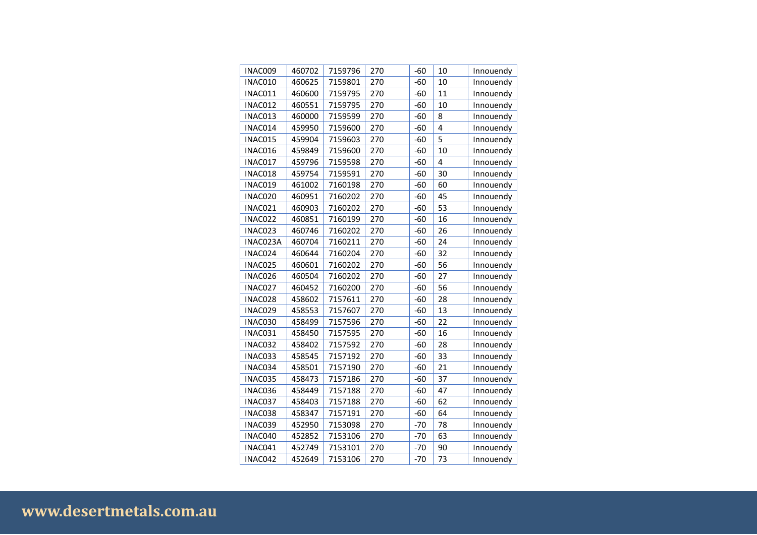| INAC009  | 460702 | 7159796 | 270 | $-60$ | 10 | Innouendy |
|----------|--------|---------|-----|-------|----|-----------|
| INAC010  | 460625 | 7159801 | 270 | $-60$ | 10 | Innouendy |
| INAC011  | 460600 | 7159795 | 270 | $-60$ | 11 | Innouendy |
| INAC012  | 460551 | 7159795 | 270 | $-60$ | 10 | Innouendy |
| INAC013  | 460000 | 7159599 | 270 | -60   | 8  | Innouendy |
| INAC014  | 459950 | 7159600 | 270 | $-60$ | 4  | Innouendy |
| INAC015  | 459904 | 7159603 | 270 | -60   | 5  | Innouendy |
| INAC016  | 459849 | 7159600 | 270 | $-60$ | 10 | Innouendy |
| INAC017  | 459796 | 7159598 | 270 | $-60$ | 4  | Innouendy |
| INAC018  | 459754 | 7159591 | 270 | $-60$ | 30 | Innouendy |
| INAC019  | 461002 | 7160198 | 270 | $-60$ | 60 | Innouendy |
| INAC020  | 460951 | 7160202 | 270 | $-60$ | 45 | Innouendy |
| INAC021  | 460903 | 7160202 | 270 | $-60$ | 53 | Innouendy |
| INAC022  | 460851 | 7160199 | 270 | $-60$ | 16 | Innouendy |
| INAC023  | 460746 | 7160202 | 270 | $-60$ | 26 | Innouendy |
| INAC023A | 460704 | 7160211 | 270 | $-60$ | 24 | Innouendy |
| INAC024  | 460644 | 7160204 | 270 | $-60$ | 32 | Innouendy |
| INAC025  | 460601 | 7160202 | 270 | $-60$ | 56 | Innouendy |
| INAC026  | 460504 | 7160202 | 270 | $-60$ | 27 | Innouendy |
| INAC027  | 460452 | 7160200 | 270 | $-60$ | 56 | Innouendy |
| INAC028  | 458602 | 7157611 | 270 | $-60$ | 28 | Innouendy |
| INAC029  | 458553 | 7157607 | 270 | $-60$ | 13 | Innouendy |
| INAC030  | 458499 | 7157596 | 270 | $-60$ | 22 | Innouendy |
| INAC031  | 458450 | 7157595 | 270 | $-60$ | 16 | Innouendy |
| INAC032  | 458402 | 7157592 | 270 | $-60$ | 28 | Innouendy |
| INAC033  | 458545 | 7157192 | 270 | $-60$ | 33 | Innouendy |
| INAC034  | 458501 | 7157190 | 270 | $-60$ | 21 | Innouendy |
| INAC035  | 458473 | 7157186 | 270 | $-60$ | 37 | Innouendy |
| INAC036  | 458449 | 7157188 | 270 | $-60$ | 47 | Innouendy |
| INAC037  | 458403 | 7157188 | 270 | $-60$ | 62 | Innouendy |
| INAC038  | 458347 | 7157191 | 270 | $-60$ | 64 | Innouendy |
| INAC039  | 452950 | 7153098 | 270 | $-70$ | 78 | Innouendy |
| INAC040  | 452852 | 7153106 | 270 | $-70$ | 63 | Innouendy |
| INAC041  | 452749 | 7153101 | 270 | $-70$ | 90 | Innouendy |
| INAC042  | 452649 | 7153106 | 270 | $-70$ | 73 | Innouendy |

# **www.desertmetals.com.au**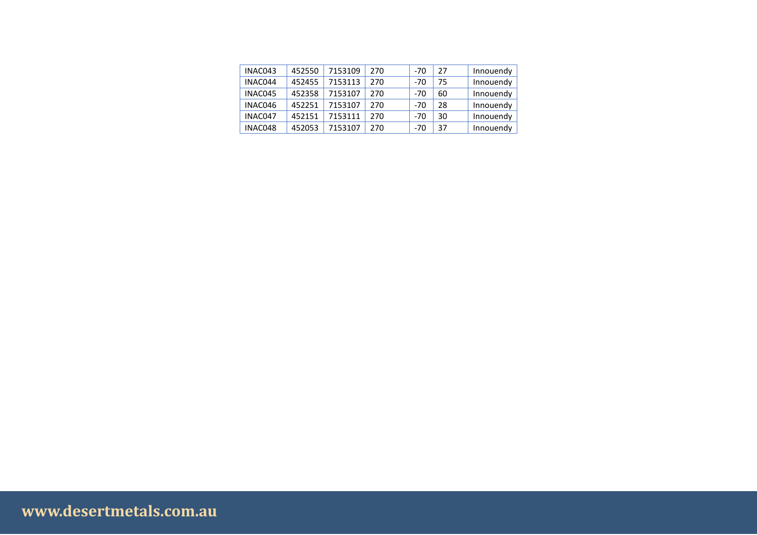| INAC043 | 452550 | 7153109 | 270 | -70   | 27 | Innouendy |
|---------|--------|---------|-----|-------|----|-----------|
| INAC044 | 452455 | 7153113 | 270 | $-70$ | 75 | Innouendy |
| INAC045 | 452358 | 7153107 | 270 | $-70$ | 60 | Innouendy |
| INAC046 | 452251 | 7153107 | 270 | $-70$ | 28 | Innouendy |
| INAC047 | 452151 | 7153111 | 270 | -70   | 30 | Innouendy |
| INAC048 | 452053 | 7153107 | 270 | -70   | 37 | Innouendy |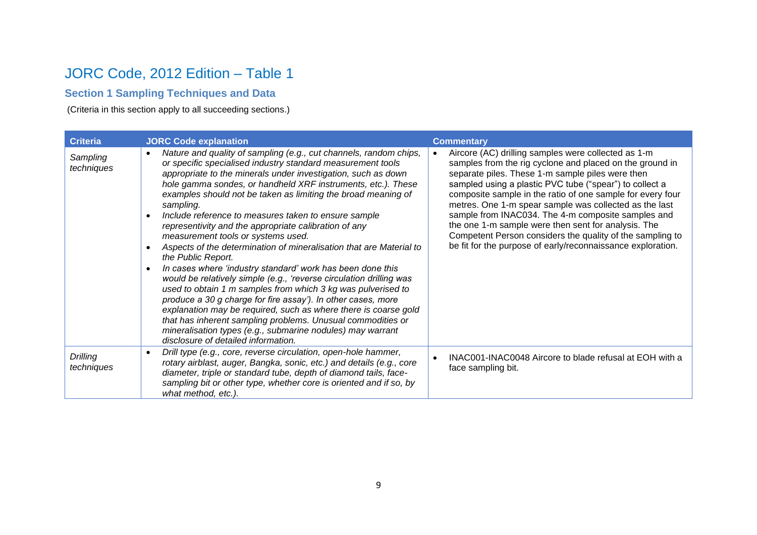### JORC Code, 2012 Edition – Table 1

### **Section 1 Sampling Techniques and Data**

(Criteria in this section apply to all succeeding sections.)

| <b>Criteria</b>        | <b>JORC Code explanation</b>                                                                                                                                                                                                                                                                                                                                                                                                                                                                                                                                                                                                                                                                                                                                                                                                                                                                                                                                                                                                                                                                                                              | <b>Commentary</b>                                                                                                                                                                                                                                                                                                                                                                                                                                                                                                                                                                               |
|------------------------|-------------------------------------------------------------------------------------------------------------------------------------------------------------------------------------------------------------------------------------------------------------------------------------------------------------------------------------------------------------------------------------------------------------------------------------------------------------------------------------------------------------------------------------------------------------------------------------------------------------------------------------------------------------------------------------------------------------------------------------------------------------------------------------------------------------------------------------------------------------------------------------------------------------------------------------------------------------------------------------------------------------------------------------------------------------------------------------------------------------------------------------------|-------------------------------------------------------------------------------------------------------------------------------------------------------------------------------------------------------------------------------------------------------------------------------------------------------------------------------------------------------------------------------------------------------------------------------------------------------------------------------------------------------------------------------------------------------------------------------------------------|
| Sampling<br>techniques | Nature and quality of sampling (e.g., cut channels, random chips,<br>$\bullet$<br>or specific specialised industry standard measurement tools<br>appropriate to the minerals under investigation, such as down<br>hole gamma sondes, or handheld XRF instruments, etc.). These<br>examples should not be taken as limiting the broad meaning of<br>sampling.<br>Include reference to measures taken to ensure sample<br>$\bullet$<br>representivity and the appropriate calibration of any<br>measurement tools or systems used.<br>Aspects of the determination of mineralisation that are Material to<br>the Public Report.<br>In cases where 'industry standard' work has been done this<br>would be relatively simple (e.g., 'reverse circulation drilling was<br>used to obtain 1 m samples from which 3 kg was pulverised to<br>produce a 30 g charge for fire assay'). In other cases, more<br>explanation may be required, such as where there is coarse gold<br>that has inherent sampling problems. Unusual commodities or<br>mineralisation types (e.g., submarine nodules) may warrant<br>disclosure of detailed information. | Aircore (AC) drilling samples were collected as 1-m<br>samples from the rig cyclone and placed on the ground in<br>separate piles. These 1-m sample piles were then<br>sampled using a plastic PVC tube ("spear") to collect a<br>composite sample in the ratio of one sample for every four<br>metres. One 1-m spear sample was collected as the last<br>sample from INAC034. The 4-m composite samples and<br>the one 1-m sample were then sent for analysis. The<br>Competent Person considers the quality of the sampling to<br>be fit for the purpose of early/reconnaissance exploration. |
| Drilling<br>techniques | Drill type (e.g., core, reverse circulation, open-hole hammer,<br>$\bullet$<br>rotary airblast, auger, Bangka, sonic, etc.) and details (e.g., core<br>diameter, triple or standard tube, depth of diamond tails, face-<br>sampling bit or other type, whether core is oriented and if so, by<br>what method, etc.).                                                                                                                                                                                                                                                                                                                                                                                                                                                                                                                                                                                                                                                                                                                                                                                                                      | INAC001-INAC0048 Aircore to blade refusal at EOH with a<br>face sampling bit.                                                                                                                                                                                                                                                                                                                                                                                                                                                                                                                   |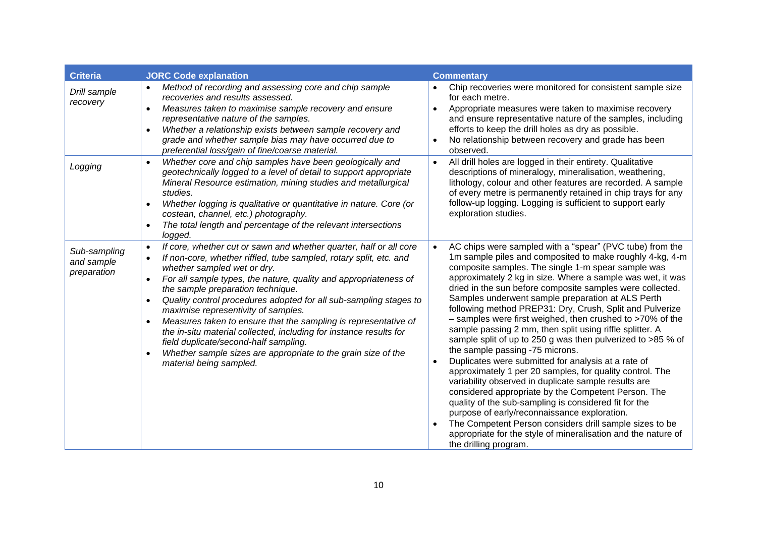| <b>Criteria</b>                           | <b>JORC Code explanation</b>                                                                                                                                                                                                                                                                                                                                                                                                                                                                                                                                                                                                                                                                         | <b>Commentary</b>                                                                                                                                                                                                                                                                                                                                                                                                                                                                                                                                                                                                                                                                                                                                                                                                                                                                                                                                                                                                                                                                                                                                                           |
|-------------------------------------------|------------------------------------------------------------------------------------------------------------------------------------------------------------------------------------------------------------------------------------------------------------------------------------------------------------------------------------------------------------------------------------------------------------------------------------------------------------------------------------------------------------------------------------------------------------------------------------------------------------------------------------------------------------------------------------------------------|-----------------------------------------------------------------------------------------------------------------------------------------------------------------------------------------------------------------------------------------------------------------------------------------------------------------------------------------------------------------------------------------------------------------------------------------------------------------------------------------------------------------------------------------------------------------------------------------------------------------------------------------------------------------------------------------------------------------------------------------------------------------------------------------------------------------------------------------------------------------------------------------------------------------------------------------------------------------------------------------------------------------------------------------------------------------------------------------------------------------------------------------------------------------------------|
| Drill sample<br>recovery                  | Method of recording and assessing core and chip sample<br>recoveries and results assessed.<br>Measures taken to maximise sample recovery and ensure<br>representative nature of the samples.<br>Whether a relationship exists between sample recovery and<br>$\bullet$<br>grade and whether sample bias may have occurred due to<br>preferential loss/gain of fine/coarse material.                                                                                                                                                                                                                                                                                                                  | Chip recoveries were monitored for consistent sample size<br>for each metre.<br>Appropriate measures were taken to maximise recovery<br>$\bullet$<br>and ensure representative nature of the samples, including<br>efforts to keep the drill holes as dry as possible.<br>No relationship between recovery and grade has been<br>observed.                                                                                                                                                                                                                                                                                                                                                                                                                                                                                                                                                                                                                                                                                                                                                                                                                                  |
| Logging                                   | Whether core and chip samples have been geologically and<br>$\bullet$<br>geotechnically logged to a level of detail to support appropriate<br>Mineral Resource estimation, mining studies and metallurgical<br>studies.<br>Whether logging is qualitative or quantitative in nature. Core (or<br>costean, channel, etc.) photography.<br>The total length and percentage of the relevant intersections<br>logged.                                                                                                                                                                                                                                                                                    | All drill holes are logged in their entirety. Qualitative<br>$\bullet$<br>descriptions of mineralogy, mineralisation, weathering,<br>lithology, colour and other features are recorded. A sample<br>of every metre is permanently retained in chip trays for any<br>follow-up logging. Logging is sufficient to support early<br>exploration studies.                                                                                                                                                                                                                                                                                                                                                                                                                                                                                                                                                                                                                                                                                                                                                                                                                       |
| Sub-sampling<br>and sample<br>preparation | If core, whether cut or sawn and whether quarter, half or all core<br>If non-core, whether riffled, tube sampled, rotary split, etc. and<br>whether sampled wet or dry.<br>For all sample types, the nature, quality and appropriateness of<br>$\bullet$<br>the sample preparation technique.<br>Quality control procedures adopted for all sub-sampling stages to<br>$\bullet$<br>maximise representivity of samples.<br>Measures taken to ensure that the sampling is representative of<br>the in-situ material collected, including for instance results for<br>field duplicate/second-half sampling.<br>Whether sample sizes are appropriate to the grain size of the<br>material being sampled. | AC chips were sampled with a "spear" (PVC tube) from the<br>$\bullet$<br>1m sample piles and composited to make roughly 4-kg, 4-m<br>composite samples. The single 1-m spear sample was<br>approximately 2 kg in size. Where a sample was wet, it was<br>dried in the sun before composite samples were collected.<br>Samples underwent sample preparation at ALS Perth<br>following method PREP31: Dry, Crush, Split and Pulverize<br>- samples were first weighed, then crushed to >70% of the<br>sample passing 2 mm, then split using riffle splitter. A<br>sample split of up to 250 g was then pulverized to >85 % of<br>the sample passing -75 microns.<br>Duplicates were submitted for analysis at a rate of<br>$\bullet$<br>approximately 1 per 20 samples, for quality control. The<br>variability observed in duplicate sample results are<br>considered appropriate by the Competent Person. The<br>quality of the sub-sampling is considered fit for the<br>purpose of early/reconnaissance exploration.<br>The Competent Person considers drill sample sizes to be<br>appropriate for the style of mineralisation and the nature of<br>the drilling program. |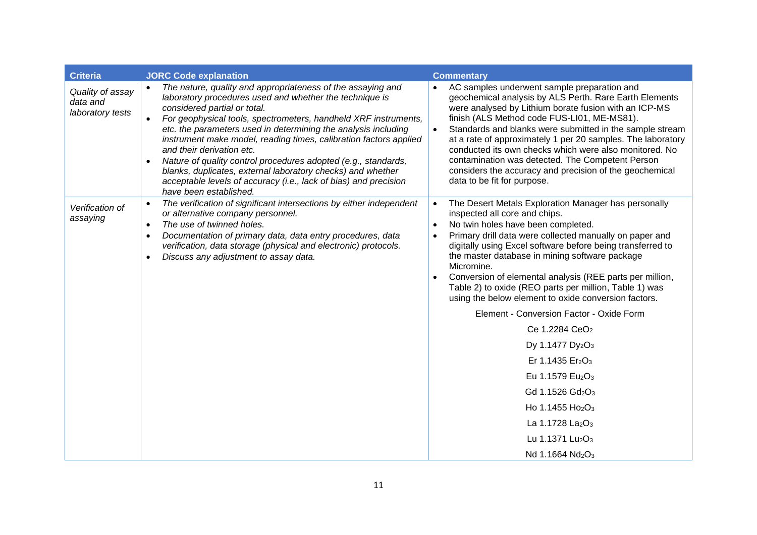| <b>Criteria</b>                                  | <b>JORC Code explanation</b>                                                                                                                                                                                                                                                                                                                                                                                                                                                                                                                                                                                                 | <b>Commentary</b>                                                                                                                                                                                                                                                                                                                                                                                                                                                                                                                                                                                                                                                                                                                                                                                                                                                                                                                                         |
|--------------------------------------------------|------------------------------------------------------------------------------------------------------------------------------------------------------------------------------------------------------------------------------------------------------------------------------------------------------------------------------------------------------------------------------------------------------------------------------------------------------------------------------------------------------------------------------------------------------------------------------------------------------------------------------|-----------------------------------------------------------------------------------------------------------------------------------------------------------------------------------------------------------------------------------------------------------------------------------------------------------------------------------------------------------------------------------------------------------------------------------------------------------------------------------------------------------------------------------------------------------------------------------------------------------------------------------------------------------------------------------------------------------------------------------------------------------------------------------------------------------------------------------------------------------------------------------------------------------------------------------------------------------|
| Quality of assay<br>data and<br>laboratory tests | The nature, quality and appropriateness of the assaying and<br>laboratory procedures used and whether the technique is<br>considered partial or total.<br>For geophysical tools, spectrometers, handheld XRF instruments,<br>etc. the parameters used in determining the analysis including<br>instrument make model, reading times, calibration factors applied<br>and their derivation etc.<br>Nature of quality control procedures adopted (e.g., standards,<br>blanks, duplicates, external laboratory checks) and whether<br>acceptable levels of accuracy (i.e., lack of bias) and precision<br>have been established. | AC samples underwent sample preparation and<br>geochemical analysis by ALS Perth. Rare Earth Elements<br>were analysed by Lithium borate fusion with an ICP-MS<br>finish (ALS Method code FUS-LI01, ME-MS81).<br>Standards and blanks were submitted in the sample stream<br>$\bullet$<br>at a rate of approximately 1 per 20 samples. The laboratory<br>conducted its own checks which were also monitored. No<br>contamination was detected. The Competent Person<br>considers the accuracy and precision of the geochemical<br>data to be fit for purpose.                                                                                                                                                                                                                                                                                                                                                                                             |
| Verification of<br>assaying                      | The verification of significant intersections by either independent<br>or alternative company personnel.<br>The use of twinned holes.<br>$\bullet$<br>Documentation of primary data, data entry procedures, data<br>verification, data storage (physical and electronic) protocols.<br>Discuss any adjustment to assay data.                                                                                                                                                                                                                                                                                                 | The Desert Metals Exploration Manager has personally<br>$\bullet$<br>inspected all core and chips.<br>No twin holes have been completed.<br>Primary drill data were collected manually on paper and<br>digitally using Excel software before being transferred to<br>the master database in mining software package<br>Micromine.<br>Conversion of elemental analysis (REE parts per million,<br>Table 2) to oxide (REO parts per million, Table 1) was<br>using the below element to oxide conversion factors.<br>Element - Conversion Factor - Oxide Form<br>Ce 1.2284 CeO <sub>2</sub><br>Dy 1.1477 Dy <sub>2</sub> O <sub>3</sub><br>Er 1.1435 Er <sub>2</sub> O <sub>3</sub><br>Eu 1.1579 Eu <sub>2</sub> O <sub>3</sub><br>Gd 1.1526 Gd <sub>2</sub> O <sub>3</sub><br>Ho 1.1455 Ho <sub>2</sub> O <sub>3</sub><br>La 1.1728 La <sub>2</sub> O <sub>3</sub><br>Lu 1.1371 Lu <sub>2</sub> O <sub>3</sub><br>Nd 1.1664 Nd <sub>2</sub> O <sub>3</sub> |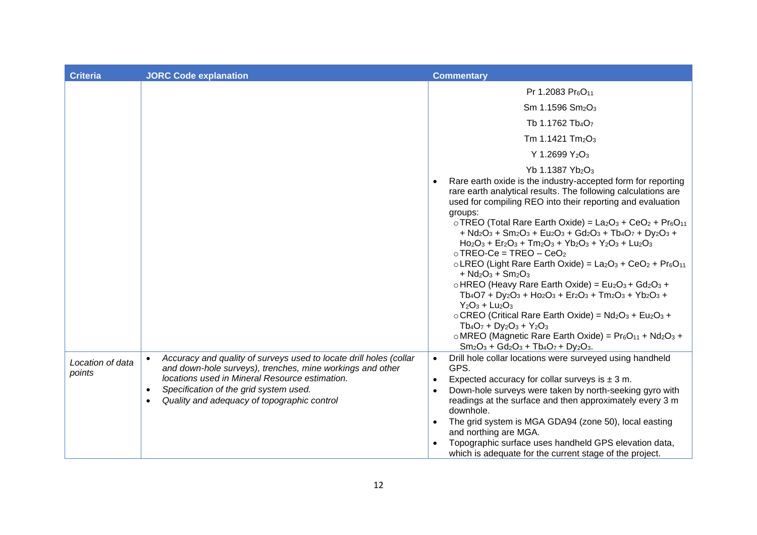| <b>Criteria</b>            | <b>JORC Code explanation</b>                                                                                                                                                                                                                                                                                      | <b>Commentary</b>                                                                                                                                                                                                                                                                                                                                                                                                                                                                                                                                                                                                                                                                                                                                                                                                                                                                                                                                                                                                                                                                                                                                                                                                                                                                                                              |
|----------------------------|-------------------------------------------------------------------------------------------------------------------------------------------------------------------------------------------------------------------------------------------------------------------------------------------------------------------|--------------------------------------------------------------------------------------------------------------------------------------------------------------------------------------------------------------------------------------------------------------------------------------------------------------------------------------------------------------------------------------------------------------------------------------------------------------------------------------------------------------------------------------------------------------------------------------------------------------------------------------------------------------------------------------------------------------------------------------------------------------------------------------------------------------------------------------------------------------------------------------------------------------------------------------------------------------------------------------------------------------------------------------------------------------------------------------------------------------------------------------------------------------------------------------------------------------------------------------------------------------------------------------------------------------------------------|
|                            |                                                                                                                                                                                                                                                                                                                   | Pr 1.2083 Pr <sub>6</sub> O <sub>11</sub><br>Sm 1.1596 Sm <sub>2</sub> O <sub>3</sub><br>Tb 1.1762 Tb <sub>4</sub> O <sub>7</sub><br>Tm 1.1421 Tm <sub>2</sub> O <sub>3</sub><br>Y 1.2699 Y <sub>2</sub> O <sub>3</sub>                                                                                                                                                                                                                                                                                                                                                                                                                                                                                                                                                                                                                                                                                                                                                                                                                                                                                                                                                                                                                                                                                                        |
|                            |                                                                                                                                                                                                                                                                                                                   | Yb 1.1387 Yb <sub>2</sub> O <sub>3</sub><br>Rare earth oxide is the industry-accepted form for reporting<br>rare earth analytical results. The following calculations are<br>used for compiling REO into their reporting and evaluation<br>groups:<br>$\circ$ TREO (Total Rare Earth Oxide) = La <sub>2</sub> O <sub>3</sub> + CeO <sub>2</sub> + Pr $_6$ O <sub>11</sub><br>+ Nd <sub>2</sub> O <sub>3</sub> + Sm <sub>2</sub> O <sub>3</sub> + Eu <sub>2</sub> O <sub>3</sub> + Gd <sub>2</sub> O <sub>3</sub> + Tb <sub>4</sub> O <sub>7</sub> + Dy <sub>2</sub> O <sub>3</sub> +<br>$Ho2O3 + Er2O3 + Tm2O3 + Yb2O3 + Y2O3 + Lu2O3$<br>$\circ$ TREO-Ce = TREO - CeO <sub>2</sub><br>$\circ$ LREO (Light Rare Earth Oxide) = La <sub>2</sub> O <sub>3</sub> + CeO <sub>2</sub> + Pr <sub>6</sub> O <sub>11</sub><br>+ $Nd_2O_3$ + $Sm_2O_3$<br>$\circ$ HREO (Heavy Rare Earth Oxide) = Eu <sub>2</sub> O <sub>3</sub> + Gd <sub>2</sub> O <sub>3</sub> +<br>$Tb_4O7 + Dy_2O_3 + Ho_2O_3 + Er_2O_3 + Tm_2O_3 + Yb_2O_3 +$<br>$Y_2O_3 + Lu_2O_3$<br>o CREO (Critical Rare Earth Oxide) = Nd <sub>2</sub> O <sub>3</sub> + Eu <sub>2</sub> O <sub>3</sub> +<br>$Tb_4O_7 + Dy_2O_3 + Y_2O_3$<br>o MREO (Magnetic Rare Earth Oxide) = $Pr_6O_{11}$ + Nd <sub>2</sub> O <sub>3</sub> +<br>$Sm_2O_3 + Gd_2O_3 + Tb_4O_7 + Dy_2O_3.$ |
| Location of data<br>points | Accuracy and quality of surveys used to locate drill holes (collar<br>$\bullet$<br>and down-hole surveys), trenches, mine workings and other<br>locations used in Mineral Resource estimation.<br>Specification of the grid system used.<br>$\bullet$<br>Quality and adequacy of topographic control<br>$\bullet$ | Drill hole collar locations were surveyed using handheld<br>$\bullet$<br>GPS.<br>Expected accuracy for collar surveys is $\pm$ 3 m.<br>Down-hole surveys were taken by north-seeking gyro with<br>$\bullet$<br>readings at the surface and then approximately every 3 m<br>downhole.<br>The grid system is MGA GDA94 (zone 50), local easting<br>and northing are MGA.<br>Topographic surface uses handheld GPS elevation data,<br>which is adequate for the current stage of the project.                                                                                                                                                                                                                                                                                                                                                                                                                                                                                                                                                                                                                                                                                                                                                                                                                                     |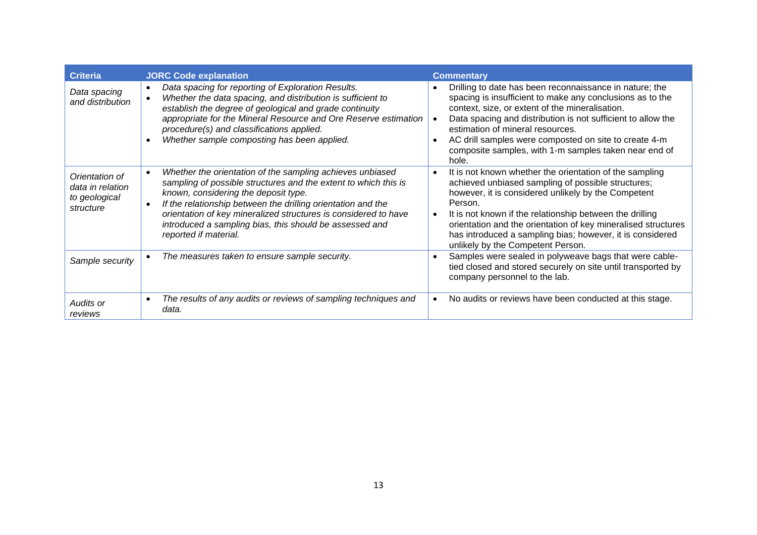| <b>Criteria</b>                                                  | <b>JORC Code explanation</b>                                                                                                                                                                                                                                                                                                                                                                | <b>Commentary</b>                                                                                                                                                                                                                                                                                                                                                                                                           |
|------------------------------------------------------------------|---------------------------------------------------------------------------------------------------------------------------------------------------------------------------------------------------------------------------------------------------------------------------------------------------------------------------------------------------------------------------------------------|-----------------------------------------------------------------------------------------------------------------------------------------------------------------------------------------------------------------------------------------------------------------------------------------------------------------------------------------------------------------------------------------------------------------------------|
| Data spacing<br>and distribution                                 | Data spacing for reporting of Exploration Results.<br>$\bullet$<br>Whether the data spacing, and distribution is sufficient to<br>establish the degree of geological and grade continuity<br>appropriate for the Mineral Resource and Ore Reserve estimation<br>procedure(s) and classifications applied.<br>Whether sample composting has been applied.                                    | Drilling to date has been reconnaissance in nature; the<br>spacing is insufficient to make any conclusions as to the<br>context, size, or extent of the mineralisation.<br>Data spacing and distribution is not sufficient to allow the<br>estimation of mineral resources.<br>AC drill samples were composted on site to create 4-m<br>composite samples, with 1-m samples taken near end of<br>hole.                      |
| Orientation of<br>data in relation<br>to geological<br>structure | Whether the orientation of the sampling achieves unbiased<br>sampling of possible structures and the extent to which this is<br>known, considering the deposit type.<br>If the relationship between the drilling orientation and the<br>orientation of key mineralized structures is considered to have<br>introduced a sampling bias, this should be assessed and<br>reported if material. | It is not known whether the orientation of the sampling<br>$\bullet$<br>achieved unbiased sampling of possible structures;<br>however, it is considered unlikely by the Competent<br>Person.<br>It is not known if the relationship between the drilling<br>orientation and the orientation of key mineralised structures<br>has introduced a sampling bias; however, it is considered<br>unlikely by the Competent Person. |
| Sample security                                                  | The measures taken to ensure sample security.                                                                                                                                                                                                                                                                                                                                               | Samples were sealed in polyweave bags that were cable-<br>tied closed and stored securely on site until transported by<br>company personnel to the lab.                                                                                                                                                                                                                                                                     |
| Audits or<br>reviews                                             | The results of any audits or reviews of sampling techniques and<br>$\bullet$<br>data.                                                                                                                                                                                                                                                                                                       | No audits or reviews have been conducted at this stage.                                                                                                                                                                                                                                                                                                                                                                     |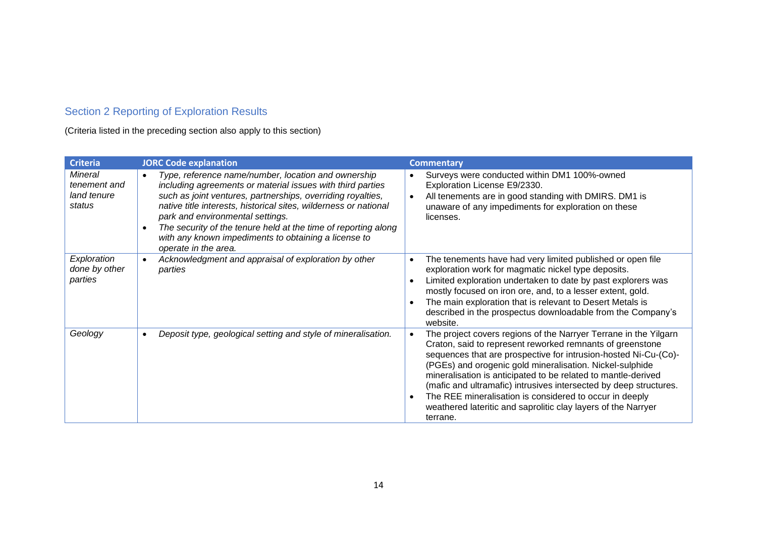### Section 2 Reporting of Exploration Results

(Criteria listed in the preceding section also apply to this section)

| <b>Criteria</b>                                         | <b>JORC Code explanation</b>                                                                                                                                                                                                                                                                                                                                                                                                                                         | <b>Commentary</b>                                                                                                                                                                                                                                                                                                                                                                                                                                                                                                                                       |
|---------------------------------------------------------|----------------------------------------------------------------------------------------------------------------------------------------------------------------------------------------------------------------------------------------------------------------------------------------------------------------------------------------------------------------------------------------------------------------------------------------------------------------------|---------------------------------------------------------------------------------------------------------------------------------------------------------------------------------------------------------------------------------------------------------------------------------------------------------------------------------------------------------------------------------------------------------------------------------------------------------------------------------------------------------------------------------------------------------|
| <b>Mineral</b><br>tenement and<br>land tenure<br>status | Type, reference name/number, location and ownership<br>$\bullet$<br>including agreements or material issues with third parties<br>such as joint ventures, partnerships, overriding royalties,<br>native title interests, historical sites, wilderness or national<br>park and environmental settings.<br>The security of the tenure held at the time of reporting along<br>$\bullet$<br>with any known impediments to obtaining a license to<br>operate in the area. | Surveys were conducted within DM1 100%-owned<br>$\bullet$<br>Exploration License E9/2330.<br>All tenements are in good standing with DMIRS. DM1 is<br>unaware of any impediments for exploration on these<br>licenses.                                                                                                                                                                                                                                                                                                                                  |
| Exploration<br>done by other<br>parties                 | Acknowledgment and appraisal of exploration by other<br>$\bullet$<br>parties                                                                                                                                                                                                                                                                                                                                                                                         | The tenements have had very limited published or open file<br>$\bullet$<br>exploration work for magmatic nickel type deposits.<br>Limited exploration undertaken to date by past explorers was<br>mostly focused on iron ore, and, to a lesser extent, gold.<br>The main exploration that is relevant to Desert Metals is<br>described in the prospectus downloadable from the Company's<br>website.                                                                                                                                                    |
| Geology                                                 | Deposit type, geological setting and style of mineralisation.<br>$\bullet$                                                                                                                                                                                                                                                                                                                                                                                           | The project covers regions of the Narryer Terrane in the Yilgarn<br>Craton, said to represent reworked remnants of greenstone<br>sequences that are prospective for intrusion-hosted Ni-Cu-(Co)-<br>(PGEs) and orogenic gold mineralisation. Nickel-sulphide<br>mineralisation is anticipated to be related to mantle-derived<br>(mafic and ultramafic) intrusives intersected by deep structures.<br>The REE mineralisation is considered to occur in deeply<br>$\bullet$<br>weathered lateritic and saprolitic clay layers of the Narryer<br>terrane. |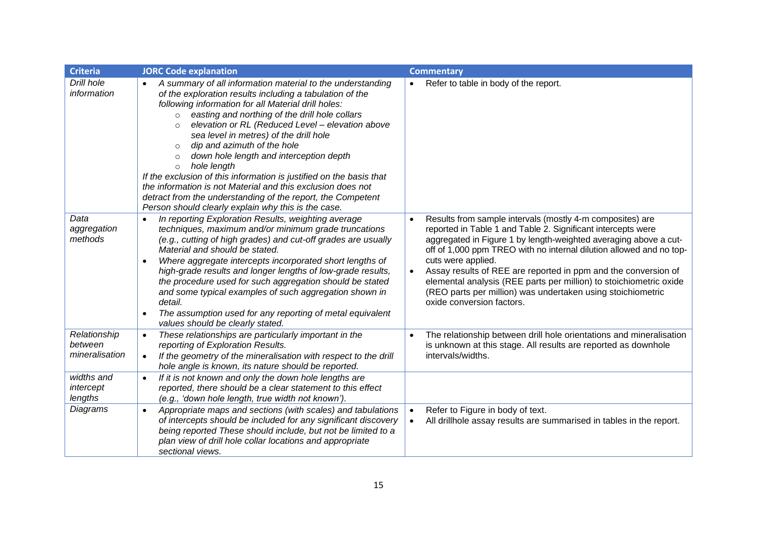| <b>Criteria</b>                           | <b>JORC Code explanation</b>                                                                                                                                                                                                                                                                                                                                                                                                                                                                                                                                                                                                                                                                                                              | <b>Commentary</b>                                                                                                                                                                                                                                                                                                                                                                                                                                                                                                              |
|-------------------------------------------|-------------------------------------------------------------------------------------------------------------------------------------------------------------------------------------------------------------------------------------------------------------------------------------------------------------------------------------------------------------------------------------------------------------------------------------------------------------------------------------------------------------------------------------------------------------------------------------------------------------------------------------------------------------------------------------------------------------------------------------------|--------------------------------------------------------------------------------------------------------------------------------------------------------------------------------------------------------------------------------------------------------------------------------------------------------------------------------------------------------------------------------------------------------------------------------------------------------------------------------------------------------------------------------|
| Drill hole<br>information                 | A summary of all information material to the understanding<br>of the exploration results including a tabulation of the<br>following information for all Material drill holes:<br>easting and northing of the drill hole collars<br>$\circ$<br>elevation or RL (Reduced Level - elevation above<br>$\circ$<br>sea level in metres) of the drill hole<br>dip and azimuth of the hole<br>$\circ$<br>down hole length and interception depth<br>$\circ$<br>hole length<br>$\circ$<br>If the exclusion of this information is justified on the basis that<br>the information is not Material and this exclusion does not<br>detract from the understanding of the report, the Competent<br>Person should clearly explain why this is the case. | Refer to table in body of the report.                                                                                                                                                                                                                                                                                                                                                                                                                                                                                          |
| Data<br>aggregation<br>methods            | In reporting Exploration Results, weighting average<br>techniques, maximum and/or minimum grade truncations<br>(e.g., cutting of high grades) and cut-off grades are usually<br>Material and should be stated.<br>Where aggregate intercepts incorporated short lengths of<br>$\bullet$<br>high-grade results and longer lengths of low-grade results,<br>the procedure used for such aggregation should be stated<br>and some typical examples of such aggregation shown in<br>detail.<br>The assumption used for any reporting of metal equivalent<br>$\bullet$<br>values should be clearly stated.                                                                                                                                     | Results from sample intervals (mostly 4-m composites) are<br>reported in Table 1 and Table 2. Significant intercepts were<br>aggregated in Figure 1 by length-weighted averaging above a cut-<br>off of 1,000 ppm TREO with no internal dilution allowed and no top-<br>cuts were applied.<br>Assay results of REE are reported in ppm and the conversion of<br>elemental analysis (REE parts per million) to stoichiometric oxide<br>(REO parts per million) was undertaken using stoichiometric<br>oxide conversion factors. |
| Relationship<br>between<br>mineralisation | These relationships are particularly important in the<br>$\bullet$<br>reporting of Exploration Results.<br>If the geometry of the mineralisation with respect to the drill<br>$\bullet$<br>hole angle is known, its nature should be reported.                                                                                                                                                                                                                                                                                                                                                                                                                                                                                            | The relationship between drill hole orientations and mineralisation<br>is unknown at this stage. All results are reported as downhole<br>intervals/widths.                                                                                                                                                                                                                                                                                                                                                                     |
| widths and<br>intercept<br>lengths        | If it is not known and only the down hole lengths are<br>$\bullet$<br>reported, there should be a clear statement to this effect<br>(e.g., 'down hole length, true width not known').                                                                                                                                                                                                                                                                                                                                                                                                                                                                                                                                                     |                                                                                                                                                                                                                                                                                                                                                                                                                                                                                                                                |
| Diagrams                                  | Appropriate maps and sections (with scales) and tabulations<br>$\bullet$<br>of intercepts should be included for any significant discovery<br>being reported These should include, but not be limited to a<br>plan view of drill hole collar locations and appropriate<br>sectional views.                                                                                                                                                                                                                                                                                                                                                                                                                                                | Refer to Figure in body of text.<br>$\bullet$<br>All drillhole assay results are summarised in tables in the report.                                                                                                                                                                                                                                                                                                                                                                                                           |